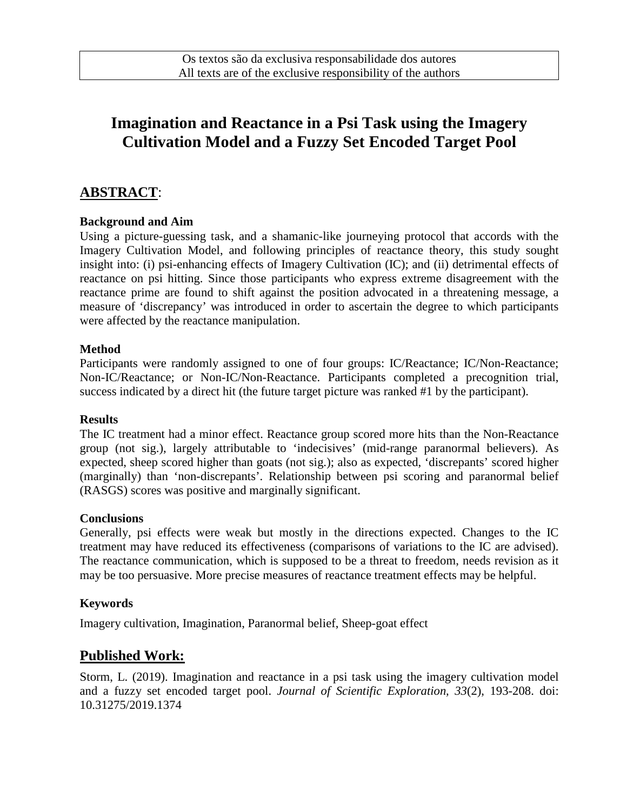# **Imagination and Reactance in a Psi Task using the Imagery Cultivation Model and a Fuzzy Set Encoded Target Pool**

### **ABSTRACT**:

#### **Background and Aim**

Using a picture-guessing task, and a shamanic-like journeying protocol that accords with the Imagery Cultivation Model, and following principles of reactance theory, this study sought insight into: (i) psi-enhancing effects of Imagery Cultivation (IC); and (ii) detrimental effects of reactance on psi hitting. Since those participants who express extreme disagreement with the reactance prime are found to shift against the position advocated in a threatening message, a measure of 'discrepancy' was introduced in order to ascertain the degree to which participants were affected by the reactance manipulation.

#### **Method**

Participants were randomly assigned to one of four groups: IC/Reactance; IC/Non-Reactance; Non-IC/Reactance; or Non-IC/Non-Reactance. Participants completed a precognition trial, success indicated by a direct hit (the future target picture was ranked #1 by the participant).

#### **Results**

The IC treatment had a minor effect. Reactance group scored more hits than the Non-Reactance group (not sig.), largely attributable to 'indecisives' (mid-range paranormal believers). As expected, sheep scored higher than goats (not sig.); also as expected, 'discrepants' scored higher (marginally) than 'non-discrepants'. Relationship between psi scoring and paranormal belief (RASGS) scores was positive and marginally significant.

#### **Conclusions**

Generally, psi effects were weak but mostly in the directions expected. Changes to the IC treatment may have reduced its effectiveness (comparisons of variations to the IC are advised). The reactance communication, which is supposed to be a threat to freedom, needs revision as it may be too persuasive. More precise measures of reactance treatment effects may be helpful.

#### **Keywords**

Imagery cultivation, Imagination, Paranormal belief, Sheep-goat effect

### **Published Work:**

Storm, L. (2019). Imagination and reactance in a psi task using the imagery cultivation model and a fuzzy set encoded target pool. *Journal of Scientific Exploration, 33*(2), 193-208. doi: 10.31275/2019.1374